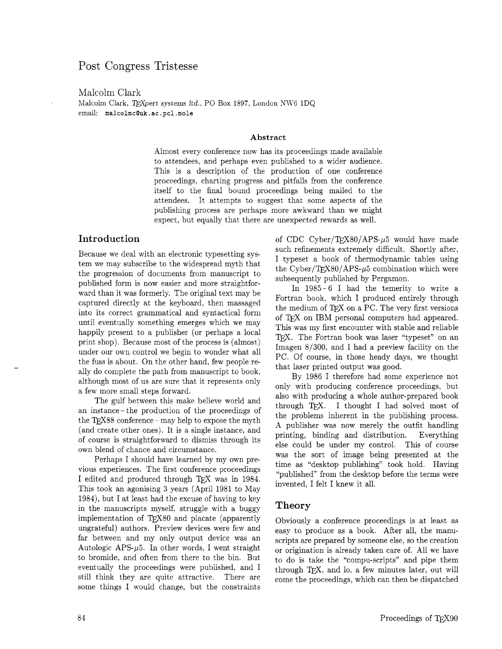### Post Congress Tristesse

Malcolm Clark Malcolm Clark, TEXpert systems *Itd.*, PO Box 1897, London NW6 1DQ email: **malcolmcQuk** . **ac** . pcl **.mole** 

#### **Abstract**

Almost every conference now has its proceedings made available to attendees, and perhaps even published to a wider audience. This is a description of the production of one conference proceedings, charting progress and pitfalls from the conference itself to the final bound proceedings being mailed to the attendees. It attempts to suggest that some aspects of the publishing process are perhaps more awkward than we might expect, but equally that there are unexpected rewards as well.

### **Introduction**

Because we deal with an electronic typesetting system we may subscribe to the widespread myth that the progression of documents from manuscript to published form is now easier and more straightforward than it was formerly. The original text may be captured directly at the keyboard, then massaged into its correct grammatical and syntactical form until eventually something emerges which we may happily present to a publisher (or perhaps a local print shop). Because most of the process is (almost) under our own control we begin to wonder what all the fuss is about. On the other hand, few people really do complete the path from manuscript to book. although most of us are sure that it represents only a few more small steps forward.

The gulf between this make believe world and an instance- the production of the proceedings of the  $T<sub>E</sub>X88$  conference - may help to expose the myth (and create other ones). It is a single instance, and of course is straightforward to dismiss through its own blend of chance and circumstance.

Perhaps I should have learned by my own previous experiences. The first conference proceedings I edited and produced through TFX was in 1984. This took an agonising **3** years (April 1981 to May 1984), but I at least had the excuse of having to key in the manuscripts myself. struggle with a buggy implementation of TEX80 and placate (apparently ungrateful) authors. Preview devices were few and far between and my only output device was an Autologic APS- $\mu$ 5. In other words, I went straight to bromide, and often from there to the bin. But eventually the proceedings were published. and I still think they are quite attractive. There are some things I would change, but the constraints of CDC Cyber/TEX80/APS- $\mu$ 5 would have made such refinements extremely difficult. Shortly after, I typeset a book of thermodynamic tables using the Cyber/T<sub>F</sub>X80/APS- $\mu$ 5 combination which were subsequently published by Pergamon.

In 1985-6 I had the temerity to write a Fortran book, which I produced entirely through the medium of TFX on a PC. The very first versions of QX on IBM personal computers had appeared. This was my first encounter with stable and reliable TEX. The Fortran book was laser "typeset" on an Imagen  $8/300$ , and I had a preview facility on the PC. Of course, in those heady days, we thought that laser printed output was good.

By 1986 I therefore had some experience not only with producing conference proceedings: but also with producing a whole author-prepared book through TEX. I thought I had solved most of the problems inherent in the publishing process. A publisher was now merely the outfit handling printing, binding and distribution. Everything else could be under my control. This of course was the sort of image being presented at the time as "desktop publishing" took hold. Having "published" from the desktop before the terms were invented. I felt I knew it all.

#### **Theory**

Obviously a conference proceedings is at least as easy to produce as a book. After all, the manuscripts are prepared by someone else, so the creation or origination is already taken care of. All we have to do is take the "compu-scripts" and pipe them through QX, and lo, a few minutes later, out will come the proceedings, which can then be dispatched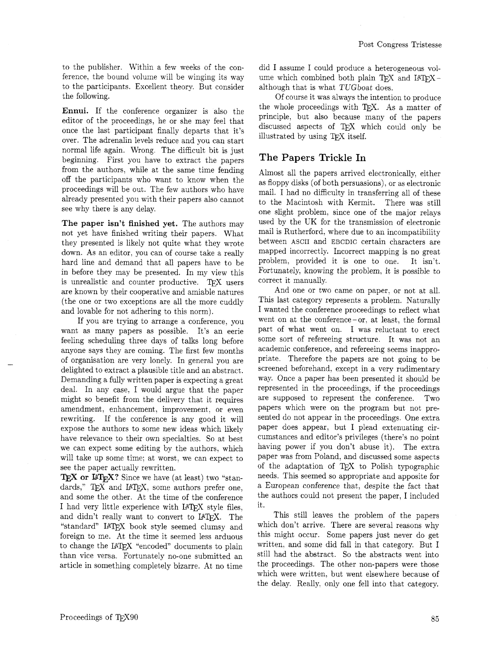to the publisher. Within a few weeks of the conference, the bound volume will be winging its way to the participants. Excellent theory. But consider the following.

Ennui. If the conference organizer is also the editor of the proceedings, he or she may feel that once the last participant finally departs that it's over. The adrenalin levels reduce and you can start normal life again. Wrong. The difficult bit is just beginning. First you have to extract the papers from the authors, while at the same time fending off the participants who want to know when the proceedings will be out. The few authors who have already presented you with their papers also cannot see why there is any delay.

The paper isn't finished yet. The authors may not yet have finished writing their papers. What they presented is likely not quite what they wrote down. As an editor, you can of course take a really hard line and demand that all papers have to be in before they may be presented. In my view this is unrealistic and counter productive. TEX users are known by their cooperative and amiable natures (the one or two exceptions are all the more cuddly and lovable for not adhering to this norm).

If you are trying to arrange a conference, you want as many papers as possible. It's an eerie feeling scheduling three days of talks long before anyone says they are coming. The first few months of organisation are very lonely. In general you are delighted to extract a plausible title and an abstract. Demanding a fully written paper is expecting a great deal. In any case. I would argue that the paper might so benefit from the delivery that it requires amendment, enhancement, improvement. or even rewriting. If the conference is any good it will expose the authors to some new ideas which likely have relevance to their own specialties. So at best we can expect some editing by the authors, which will take up some time; at worst, we can expect to see the paper actually rewritten.

TEX or  $\mathbb{F}$ T<sub>E</sub>X? Since we have (at least) two "standards," TEX and IATEX, some authors prefer one, and some the other. At the time of the conference I had very little experience with IATEX style files, and didn't really want to convert to IATFX. The "standard" IATEX book style seemed clumsy and foreign to me. At the time it seemed less arduous to change the IATEX "encoded" documents to plain than vice versa. Fortunately no-one submitted an article in something completely bizarre. At no time did I assume I could produce a heterogeneous volume which combined both plain TFX and I4TFXalthough that is what TUGboat does.

Of course it was always the intention to produce the whole proceedings with TEX. As a matter of principle, but also because many of the papers discussed aspects of TEX which could only be illustrated by using T<sub>F</sub>X itself.

### **The Papers Trickle In**

Almost all the papers arrived electronically. either as floppy disks (of both persuasions), or as electronic mail. I had no difficulty in transferring all of these to the Macintosh with Kermit. There was still one slight problem. since one of the major relays used by the UK for the transmission of electronic mail is Rutherford, where due to an incompatibility between ASCII and EBCDIC certain characters are mapped incorrectly. Incorrect mapping is no great problem, provided it is one to one. It isn't. Fortunately, knowing the problem, it is possible to correct it manually.

And one or two came on paper. or not at all. This last category represents a problem. Naturally I wanted the conference proceedings to reflect what went on at the conference-or, at least, the formal part of what went on. I was reluctant to erect some sort of refereeing structure. It was not an academic conference, and refereeing seems inappropriate. Therefore the papers are not going to be screened beforehand. except in a very rudimentary way. Once a paper has been presented it should be represented in the proceedings. if the proceedings are supposed to represent the conference. Two papers which were on the program but not presented do not appear in the proceedings. One extra paper does appear, but I plead extenuating circumstances and editor's privileges (there's no point having power if you don't abuse it). The extra paper was from Poland. and discussed some aspects of the adaptation of T<sub>EX</sub> to Polish typographic needs. This seemed so appropriate and apposite for a European conference that, despite the fact that the authors could not present the paper, I included it.

This still leaves the problem of the papers which don't arrive. There are several reasons why this might occur. Some papers just never do get written. and some did fall in that category. But I still had the abstract. So the abstracts went into the proceedings. The other non-papers were those which were written, but went elsewhere because of the delay. Really, only one fell into that category.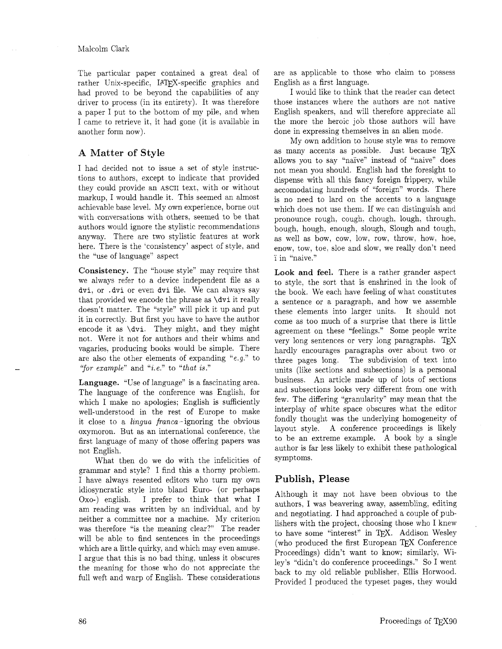The particular paper contained a great deal of rather Unix-specific, IATFX-specific graphics and had proved to be beyond the capabilities of any driver to process (in its entirety). It was therefore a paper I put to the bottom of my pile, and when I came to retrieve it, it had gone (it is available in another form now).

### **A** Matter of Style

I had decided not to issue a set of style instructions to authors, except to indicate that provided they could provide an ASCII text. with or without markup, I would handle it. This seemed an almost achievable base level. My own experience, borne out with conversations with others, seemed to be that authors would ignore the stylistic recommendations anyway. There are two stylistic features at work here. There is the 'consistency' aspect of style, and the "use of language'' aspect

Consistency. The "house style" may require that we always refer to a device independent file as a dvi, or .dvi or even dvi file. We can always say that provided we encode the phrase as \dvi it really doesn't matter. The "style" will pick it up and put it in correctly. But first you have to have the author encode it as \dvi. They might. and they might not. Were it not for authors and their whims and vagaries. producing books would be simple. There are also the other elements of expanding "e.g." to "for example" and "*i.e.*" to "that is."

Language. "Use of language" is a fascinating area. The language of the conference was English, for which I make no apologies; English is sufficiently well-understood in the rest of Europe to make it close to a lingua franca-ignoring the obvious oxymoron. But as an international conference, the first language of many of those offering papers was not English.

What then do we do with the infelicities of grammar and style? I find this a thorny problem. I have always resented editors who turn my own idiosyncratic style into bland Euro- (or perhaps 0x0-) english. I prefer to think that what I am reading was written by an individual, and by neither a committee nor a machine. My criterion was therefore "is the meaning clear?" The reader will be able to find sentences in the proceedings which are a little quirky, and which may even amuse. I argue that this is no bad thing, unless it obscures the meaning for those who do not appreciate the full weft and warp of English. These considerations are as applicable to those who claim to possess English as a first language.

I would like to think that the reader can detect those instances where the authors are not native English speakers, and will therefore appreciate all the more the heroic job those authors will have done in expressing themselves in an alien mode.

My own addition to house style was to remove as many accents as possible. Just because  $TFX$ allows you to say "naïve" instead of "naive" does not mean you should. English had the foresight to dispense with all this fancy foreign frippery, while accomodating hundreds of "foreign" words. There is no need to lard on the accents to a language which does not use them. If we can distinguish and pronounce rough, cough, chough, lough, through, bough. hough. enough, slough, Slough and tough, as well as bow, cow, low, row, throw, how, hoe, enow, tow, toe. sloe and slow, we really don't need i' in 'haive."

Look and feel. There is a rather grander aspect to style, the sort that is enshrined in the look of the book. We each have feeling of what constitutes a sentence or a paragraph. and how we assemble these elements into larger units. It should not come as too much of a surprise that there is little agreement on these "feelings." Some people write very long sentences or very long paragraphs.  $T_{F}X$ hardly encourages paragraphs over about two or three pages long. The subdivision of text into units (like sections and subsections) is a personal business. An article made up of lots of sections and subsections looks very different from one with few. The differing "granularity" may mean that the interplay of white space obscures what the editor fondly thought was the underlying homogeneity of layout style. A conference proceedings is likely to be an extreme example. A book by a single author is far less likely to exhibit these pathological symptoms.

### Publish, Please

Although it may not have been obvious to the authors, I was beavering away, assembling, editing and negotiating. I had approached a couple of publishers with the project, choosing those who I knew , to have some "interest" in TEX. Addison Wesley (who produced the first European TEX Conference Proceedings) didn't want to know; similarly. Wiley's "didn't do conference proceedings." So I went back to my old reliable publisher, Ellis Horwood. Provided I produced the typeset pages, they would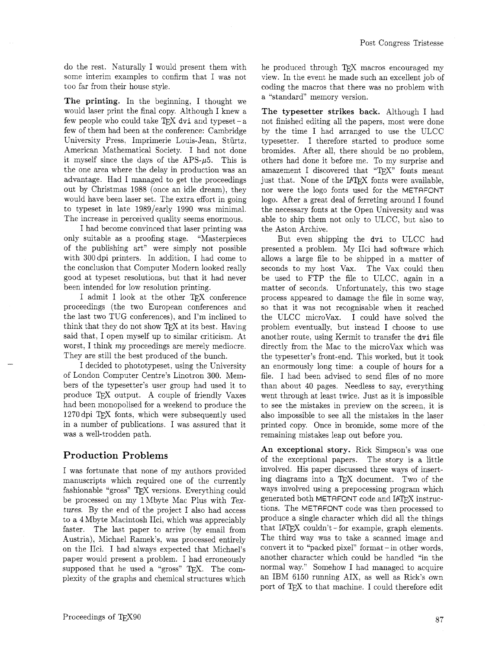do the rest. Naturally I would present them with some interim examples to confirm that I was not too far from their house style.

**The printing.** In the beginning, I thought we would laser print the final copy. Although I knew a few people who could take  $TFX$  dvi and typeset - a few of them had been at the conference: Cambridge University Press. Imprimerie Louis-Jean. Stiirtz. American Mathematical Society. I had not done it myself since the days of the  $APS-\mu5$ . This is the one area where the delay in production was an advantage. Had I managed to get the proceedings out by Christmas 1988 (once an idle dream), they would have been laser set. The extra effort in going to typeset in late 1989/early 1990 was minimal. The increase in perceived quality seems enormous.

I had become convinced that laser printing was only suitable as a proofing stage. "Masterpieces of the publishing art" were simply not possible with 300 dpi printers. In addition. I had come to the conclusion that Computer Modern looked really good at typeset resolutions, but that it had never been intended for low resolution printing.

I admit I look at the other TEX conference proceedings (the two European conferences and the last two TUG conferences), and I'm inclined to think that they do not show TFX at its best. Having said that, I open myself up to similar criticism. At worst. I think my proceedings are merely mediocre. They are still the best produced of the bunch.

I decided to phototypeset. using the University of London Computer Centre's Linotron 300. Members of the typesetter's user group had used it to produce TEX output. A couple of friendly Vaxes had been monopolised for a weekend to produce the 1270 dpi TEX fonts. which were subsequently used in a number of publications. I was assured that it was a well-trodden path.

## Production Problems

I was fortunate that none of my authors provided manuscripts which required one of the currently fashionable "gross" TFX versions. Everything could be processed on my lMbyte Mac Plus with **Tex**tures. By the end of the project I also had access to a 4Mbyte Macintosh IIci, which was appreciably faster. The last paper to arrive (by email from Austria), Michael Ramek's, was processed entirely on the IIci. I had always expected that Michael's paper would present a problem. I had erroneously supposed that he used a "gross"  $T_{\text{F}}X$ . The complexity of the graphs and chemical structures which he produced through TEX macros encouraged my view. In the event he made such an excellent job of coding the macros that there was no problem with a "standard" memory version.

**The typesetter strikes back.** Although **I** had not finished editing all the papers, most were done by the time I had arranged to use the ULCC typesetter. I therefore started to produce some bromides. After all, there should be no problem, others had done it before me. To my surprise and amazement I discovered that "TEX" fonts meant amazement I discovered that "TEX" fonts meant just that. None of the IATEX fonts were available, nor were the logo fonts used for the METRFONT logo. After a great deal of ferreting around I found the necessary fonts at the Open University and was able to ship them not only to ULCC, but also to the Aston Archive.

But even shipping the dvi to ULCC had presented a problem. My IIci had software which allows a large file to be shipped in a matter of seconds to my host Vax. The Vax could then be used to FTP the file to ULCC, again in a matter of seconds. Unfortunately. this two stage process appeared to damage the file in some way, so that it was not recognisable when it reached the ULCC microvax. I could have solved the problem eventually, but instead I choose to use another route, using Kermit to transfer the dvi file directly from the Mac to the microVax which was the typesetter's front-end. This worked, but it took an enormously long time: a couple of hours for a file. I had been advised to send files of no more than about 40 pages. Needless to say, everything went through at least twice. Just as it is impossible to see the mistakes in preview on the screen, it is also impossible to see all the mistakes in the laser printed copy. Once in bromide, some more of the remaining mistakes leap out before you.

**An exceptional story.** Rick Simpson's was one of the exceptional papers. The story is a little involved. His paper discussed three ways of inserting diagrams into a TEX document. Two of the ways involved using a prepocessing program which generated both METAFONT code and IATEX instructions. The METAFONT code was then processed to produce a single character which did all the things<br>that I4TEX couldn't – for example, graph elements. The third way was to take a scanned image and convert it to "packed pixel" format - in other words, another character which could be handled "in the normal way." Somehow I had managed to acquire an IBM 6150 running AIX. as well as Rick's own port of TEX to that machine. I could therefore edit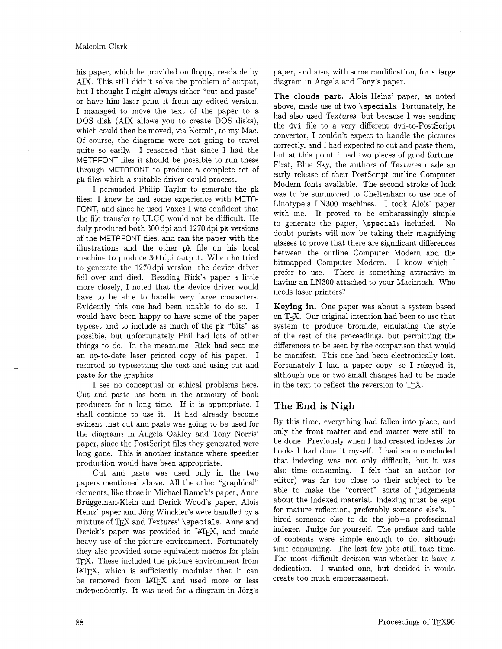his paper, which he provided on floppy, readable by paper, and also, with some modification, for a large AIX. This still didn't solve the problem of output, diagram in Angela and Tony's paper. but I thought I might always either "cut and paste" or have him laser print it from my edited version. I managed to move the text of the paper to a DOS disk (AIX allows you to create DOS disks), which could then be moved, via Kermit, to my Mac. Of course, the diagrams were not going to travel quite so easily. I reasoned that since I had the METAFONT files it should be possible to run these through METAFONT to produce a complete set of pk files which a suitable driver could process.

I persuaded Philip Taylor to generate the pk files: I knew he had some experience with METR-FONT, and since he used Vaxes I was confident that the file transfer to ULCC would not be difficult. He duly produced both 300 dpi and 1270 dpi pk versions of the METRFONT files, and ran the paper with the illustrations and the other pk file on his local machine to produce 300 dpi output. When he tried to generate the 1270dpi version, the device driver fell over and died. Reading Rick's paper a little more closely, I noted that the device driver would have to be able to handle very large characters. Evidently this one had been unable to do so. I would have been happy to have some of the paper typeset and to include as much of the pk "bits" as possible, but unfortunately Phil had lots of other things to do. In the meantime, Rick had sent me an up-to-date laser printed copy of his paper. I resorted to typesetting the text and using cut and paste for the graphics.

I see no conceptual or ethical problems here. Cut and paste has been in the armoury of book producers for a long time. If it is appropriate, I shall continue to use it. It had already become evident that cut and paste was going to be used for the diagrams in Angela Oakley and Tony Norris' paper, since the PostScript files they generated were long gone. This is another instance where speedier production would have been appropriate.

Cut and paste was used only in the two papers mentioned above. All the other "graphical" elements, like those in Michael Ramek's paper, Anne Briiggeman-Klein and Derick Wood's paper, Alois Heinz' paper and Jörg Winckler's were handled by a mixture of TFX and Textures' \specials. Anne and Derick's paper was provided in IAT<sub>F</sub>X, and made heavy use of the picture environment. Fortunately they also provided some equivalent macros for plain T<sub>F</sub>X. These included the picture environment from IPW, which is sufficiently modular that it can be removed from LATFX and used more or less independently. It was used for a diagram in Jorg's

The **clouds part.** Alois Heinz' paper, as noted above, made use of two \specials. Fortunately, he had also used Textures, but because I was sending the dvi file to a very different dvi-to-PostScript convertor, I couldn't expect to handle the pictures correctly, and I had expected to cut and paste them, but at this point I had two pieces of good fortune. First, Blue Sky, the authors of Textures made an early release of their PostScript outline Computer Modern fonts available. The second stroke of luck was to be summoned to Cheltenham to use one of Linotype's LN300 machines. I took Alois' paper with me. It proved to be embarassingly simple to generate the paper. \specials included. No doubt purists will now be taking their magnifying glasses to prove that there are significant differences between the outline Computer Modern and the bitmapped Computer Modern. I know which I prefer to use. There is something attractive in having an LN300 attached to your Macintosh. Who needs laser printers?

Keying in. One paper was about a system based on T<sub>F</sub>X. Our original intention had been to use that system to produce bromide, emulating the style of the rest of the proceedings, but permitting the differences to be seen by the comparison that would be manifest. This one had been electronically lost. Fortunately I had a paper copy, so I rekeyed it, although one or two small changes had to be made in the text to reflect the reversion to  $TFX$ .

# **The** End **is Nigh**

By this time, everything had fallen into place, and only the front matter and end matter were still to be done. Previously when I had created indexes for books I had done it myself. I had soon concluded that indexing was not only difficult, but it was also time consuming. I felt that an author (or editor) was far too close to their subject to be able to make the "correct" sorts of judgements about the indexed material. Indexing must be kept for mature reflection, preferably someone else's. I hired someone else to do the job-a professional indexer. Judge for yourself. The preface and table of contents were simple enough to do, although time consuming. The last few jobs still take time. The most difficult decision was whether to have a dedication. I wanted one, but decided it would create too much embarrassment.